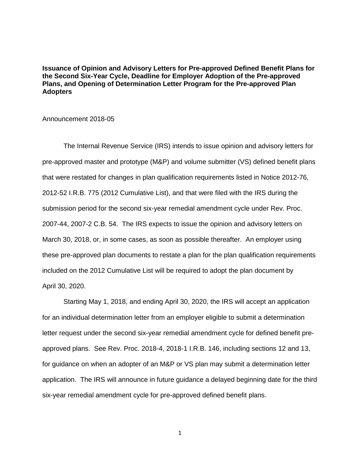**Issuance of Opinion and Advisory Letters for Pre-approved Defined Benefit Plans for the Second Six-Year Cycle, Deadline for Employer Adoption of the Pre-approved Plans, and Opening of Determination Letter Program for the Pre-approved Plan Adopters** 

Announcement 2018-05

The Internal Revenue Service (IRS) intends to issue opinion and advisory letters for pre-approved master and prototype (M&P) and volume submitter (VS) defined benefit plans that were restated for changes in plan qualification requirements listed in Notice 2012-76, 2012-52 I.R.B. 775 (2012 Cumulative List), and that were filed with the IRS during the submission period for the second six-year remedial amendment cycle under Rev. Proc. 2007-44, 2007-2 C.B. 54. The IRS expects to issue the opinion and advisory letters on March 30, 2018, or, in some cases, as soon as possible thereafter. An employer using these pre-approved plan documents to restate a plan for the plan qualification requirements included on the 2012 Cumulative List will be required to adopt the plan document by April 30, 2020.

Starting May 1, 2018, and ending April 30, 2020, the IRS will accept an application for an individual determination letter from an employer eligible to submit a determination letter request under the second six-year remedial amendment cycle for defined benefit preapproved plans. See Rev. Proc. 2018-4, 2018-1 I.R.B. 146, including sections 12 and 13, for guidance on when an adopter of an M&P or VS plan may submit a determination letter application. The IRS will announce in future guidance a delayed beginning date for the third six-year remedial amendment cycle for pre-approved defined benefit plans.

1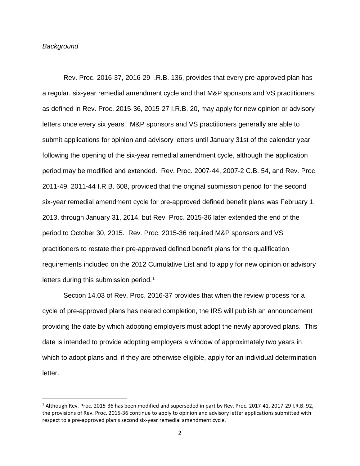### *Background*

Rev. Proc. 2016-37, 2016-29 I.R.B. 136, provides that every pre-approved plan has a regular, six-year remedial amendment cycle and that M&P sponsors and VS practitioners, as defined in Rev. Proc. 2015-36, 2015-27 I.R.B. 20, may apply for new opinion or advisory letters once every six years. M&P sponsors and VS practitioners generally are able to submit applications for opinion and advisory letters until January 31st of the calendar year following the opening of the six-year remedial amendment cycle, although the application period may be modified and extended. Rev. Proc. 2007-44, 2007-2 C.B. 54, and Rev. Proc. 2011-49, 2011-44 I.R.B. 608, provided that the original submission period for the second six-year remedial amendment cycle for pre-approved defined benefit plans was February 1, 2013, through January 31, 2014, but Rev. Proc. 2015-36 later extended the end of the period to October 30, 2015. Rev. Proc. 2015-36 required M&P sponsors and VS practitioners to restate their pre-approved defined benefit plans for the qualification requirements included on the 2012 Cumulative List and to apply for new opinion or advisory letters during this submission period.<sup>[1](#page-1-0)</sup>

Section 14.03 of Rev. Proc. 2016-37 provides that when the review process for a cycle of pre-approved plans has neared completion, the IRS will publish an announcement providing the date by which adopting employers must adopt the newly approved plans. This date is intended to provide adopting employers a window of approximately two years in which to adopt plans and, if they are otherwise eligible, apply for an individual determination letter.

<span id="page-1-0"></span> <sup>1</sup> Although Rev. Proc. 2015-36 has been modified and superseded in part by Rev. Proc. 2017-41, 2017-29 I.R.B. 92, the provisions of Rev. Proc. 2015-36 continue to apply to opinion and advisory letter applications submitted with respect to a pre-approved plan's second six-year remedial amendment cycle.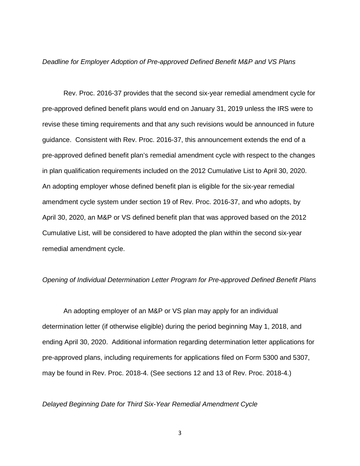#### *Deadline for Employer Adoption of Pre-approved Defined Benefit M&P and VS Plans*

Rev. Proc. 2016-37 provides that the second six-year remedial amendment cycle for pre-approved defined benefit plans would end on January 31, 2019 unless the IRS were to revise these timing requirements and that any such revisions would be announced in future guidance. Consistent with Rev. Proc. 2016-37, this announcement extends the end of a pre-approved defined benefit plan's remedial amendment cycle with respect to the changes in plan qualification requirements included on the 2012 Cumulative List to April 30, 2020. An adopting employer whose defined benefit plan is eligible for the six-year remedial amendment cycle system under section 19 of Rev. Proc. 2016-37, and who adopts, by April 30, 2020, an M&P or VS defined benefit plan that was approved based on the 2012 Cumulative List, will be considered to have adopted the plan within the second six-year remedial amendment cycle.

## *Opening of Individual Determination Letter Program for Pre-approved Defined Benefit Plans*

An adopting employer of an M&P or VS plan may apply for an individual determination letter (if otherwise eligible) during the period beginning May 1, 2018, and ending April 30, 2020. Additional information regarding determination letter applications for pre-approved plans, including requirements for applications filed on Form 5300 and 5307, may be found in Rev. Proc. 2018-4. (See sections 12 and 13 of Rev. Proc. 2018-4.)

### *Delayed Beginning Date for Third Six-Year Remedial Amendment Cycle*